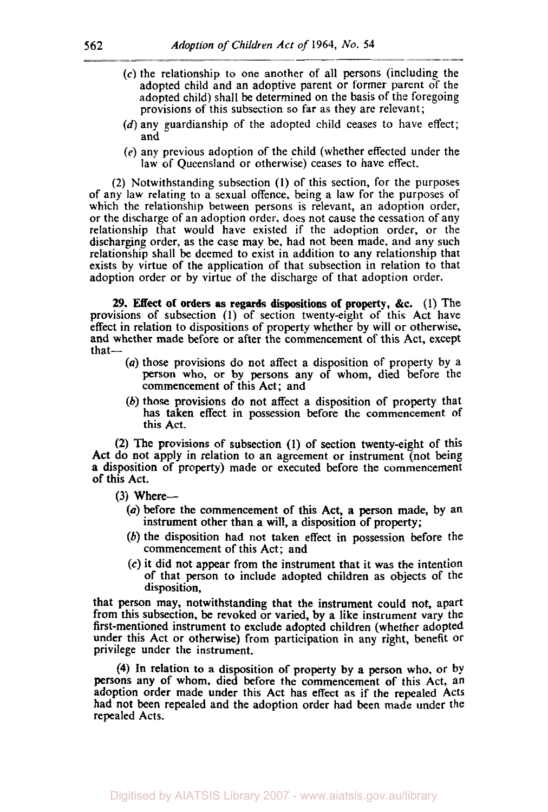- **<sup>562</sup>***Adoption of Children Act* -- **(c')** the relationship to one another of all persons (including the adopted child and an adoptive parent or former parent of the adopted child) shall be determined on the basis of the foregoing provisions of this subsection so far as they are relevant;
	- (d) any guardianship of the adopted child ceases to have effect; and
	- (e) any previous adoption of the child (whether effected under the law of Queensland or otherwise) ceases to have effect.

(2) Notwithstanding subsection **(1)** of this section, for the purposes of any law relating to a sexual offence, being a law for the purposes of which the relationship between persons is relevant, an adoption order, or the discharge of an adoption order, does not cause the cessation of any relationship that would have existed if the adoption order, or the discharging order, as the case may be. had not been made. and any such relationship shall be deemed to exist in addition to any relationship that exists by virtue of the application of that subsection in relation to that adoption order or by virtue of the discharge of that adoption order.

*29.* **Effect** of orders **as regards** dispositions of property, *&c.* (1) The provisions of subsection **(1)** of section twenty-eight of this Act have effect in relation to dispositions of property whether by will or otherwise, and whether made before or after the commencement of this Act, except that-

- *(a)* those provisions do not affect a disposition **of** property by a person who, or by persons any of whom, died before the commencement of this Act; and
- (b) those provisions do not affect a disposition of property that has taken effect in possession before the commencement of this Act.

**(2)** The provisions of subsection **(1)** of section twenty-eight of this Act do not apply in relation to an agreement or instrument (not being **a** disposition of property) made or executed before the commencement of this Act.

 $(3)$  Where--

- *(a)* before the commencement of this Act, a person made, by an instrument other than a will, a disposition of property;
- (b) the disposition had not taken effect in possession before the commencement of this Act; and
- **(c)** it did not appear from the instrument that it was the intention of that person to include adopted children as objects of the disposition,

that person may, notwithstanding that the instrument could not, apart from this subsection, be revoked or varied, by a like instrument vary the first-mentioned instrument to exclude adopted children (whether adopted under this Act or otherwise) from participation in any right, benefit **or**  privilege under the instrument.

**(4)** In relation to a disposition of property **by a** person who. or by persons any of whom, died before the commencement of this Act, an adoption order made under this Act has effect **as** if the repealed Acts had not been repealed and the adoption order had been made under the repealed Acts.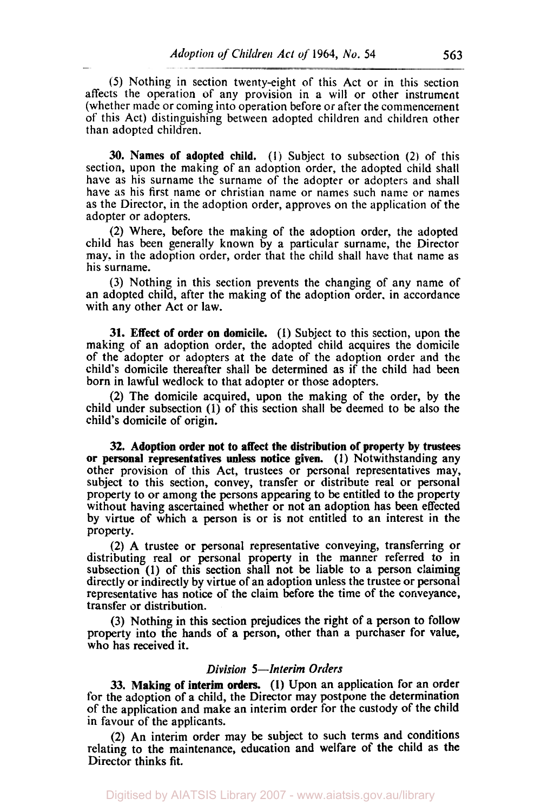*(5)* Nothing in section twenty-eight of this Act or in this section affects the operation of any provision in a will or other instrument (whether made or coming into operation before or after the commencement of this Act) distinguishing between adopted children and children other than adopted children.

**30.** Names of adopted child. (1) Subject to subsection (2) of this section, upon the making of an adoption order, the adopted child shall have as his surname the surname of the adopter or adopters and shall have as his first name or Christian name or names such name or names as the Director, in the adoption order, approves on the application of the adopter or adopters.

(2) Where, before the making of the adoption order, the adopted child has been generally known by a particular surname, the Director may. in the adoption order, order that the child shall have that name as his surname.

(3) Nothing in this section prevents the changing of any name of an adopted child, after the making of the adoption order. in accordance with any other Act or law.

**31.** Effect of order on domicile. **(1)** Subject to this section, upon the making of an adoption order, the adopted child acquires the domicile of the adopter or adopters at the date of the adoption order and the child's domicile thereafter shall be determined as if the child had been born in lawful wedlock to that adopter or those adopters.

(2) The domicile acquired, upon the making of the order, by the child under subsection (I) of this section shall be deemed to be also the child's domicile of origin.

**32.** Adoption order not to affect the distribution of property by trustees or personal representatives **unless** notice given. **(1)** Notwithstanding any other provision of this Act, trustees or personal representatives may, subject to this section, convey, transfer or distribute real or personal property to or among the persons appearing to be entitled to the property without having ascertained whether or not an adoption has been effected by virtue of which a person is or is not entitled to an interest in the property.

**(2)** A trustee or personal representative conveying, transferring or distributing real or personal property in the manner referred to in subsection (1) of this section shall not be liable to **a** person claiming directly or indirectly by virtue of an adoption unless the trustee or personal representative has notice of the claim before the time of the conveyance, transfer or distribution.

(3) Nothing in this section prejudices the right of a person to follow property into the hands of **a** person, other than a purchaser for value, who has received it.

## *Division 5-Interim Orders*

33. Making of interim orders. (I) **Upon** an application for an order for the adoption of a child, the Director may postpone the determination of the application and make an interim order for the custody **of** the child in favour of the applicants.

**(2) An** interim order may be subject to such terms and conditions relating to the maintenance, education and welfare **of** the child as the Director thinks fit.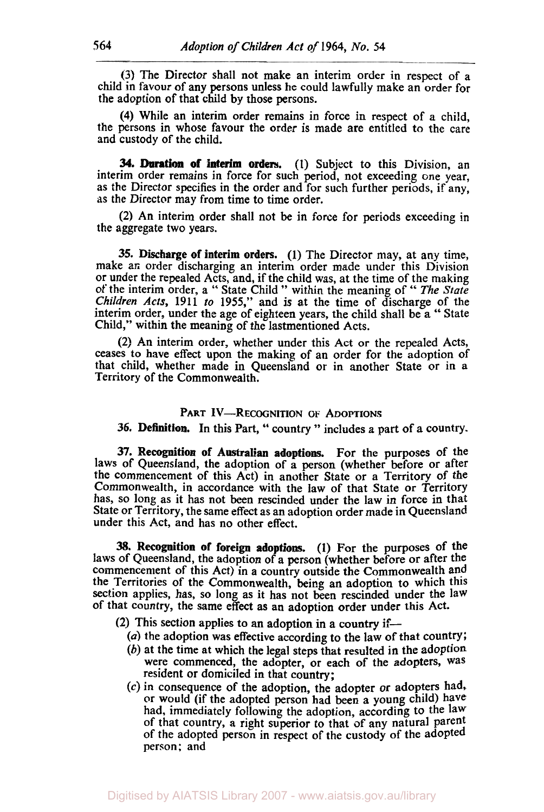(3) The Director shall not make an interim order in respect of a child in favour of any persons unless he could lawfully make an order for the adoption of that child by those persons.

**(4)** While an interim order remains in force in respect of a child, the persons in whose favour the order is made are entitled to the care and custody of the child.

**(1)** Subject to this Division, an **34. Duration of interim orders.**  interim order remains in force for such period, not exceeding one year, as the Director specifies in the order and for such further periods, if any, **as** the Director may from time to time order.

(2) An interim order shall not be in force for periods exceeding in the aggregate two years.

**35. Discharge of interim orders. (1)** The Director may, at any time, make an order discharging an interim order made under this Division or under the repealed Acts, and, if the child was, at the time of the making of the interim order, a *"* State Child " within the meaning of " *The* State *Children Acts,* **1911** *to* **1955,"** and is at the time of discharge of the interim order, under the age of eighteen years, the child shall be a " State Child," within the meaning of the lastmentioned Acts.

(2) An interim order, whether under this Act or the repealed Acts, ceases to have effect upon the making of an order for the adoption Of that child, whether made in Queensland or in another State or in a Territory of the Commonwealth.

## PART IV-RECOGNITION OF ADOPTIONS

**36. Definition.** In this Part, '' country " includes a part of a country.

**37. Recognition of Australian adoptions.** For the purposes of the laws of Queensland, the adoption of a person (whether before or after the commencement of this Act) in another State or a Territory of the Commonwealth, in accordance with the law of that State or Territory has, **SO** long as it has not been rescinded under the law in force in that State or Territory, the same effect as an adoption order made in Queensland under this Act, and has no other effect.

**38. Recognition** of **foreign adoptions. (1)** For the purposes of the laws of Queensland, the adoption of a person (whether before or after the commencement of this Act) in **a** country outside the Commonwealth and the Territories of the Commonwealth, being an adoption to which this section applies, has, so long as it has not been rescinded under the law of that country, the same effect **as** an adoption order under this Act.

- **(2)** This section applies to an adoption in a country if-
	- *(a)* the adoption was effective according to the law of that country;
	- (b) at the time at which the legal steps that resulted in the adoption were commenced, the adopter, or each of the adopters, was resident or domiciled in that country;
	- (c) in consequence of the adoption, the adopter or adopters had, or would (if the adopted person had been a young child) have had, immediately following the adoption, according to the law of that country, a right superior to that of any natural Parent of the adopted person in respect of the custody of the adopted person: and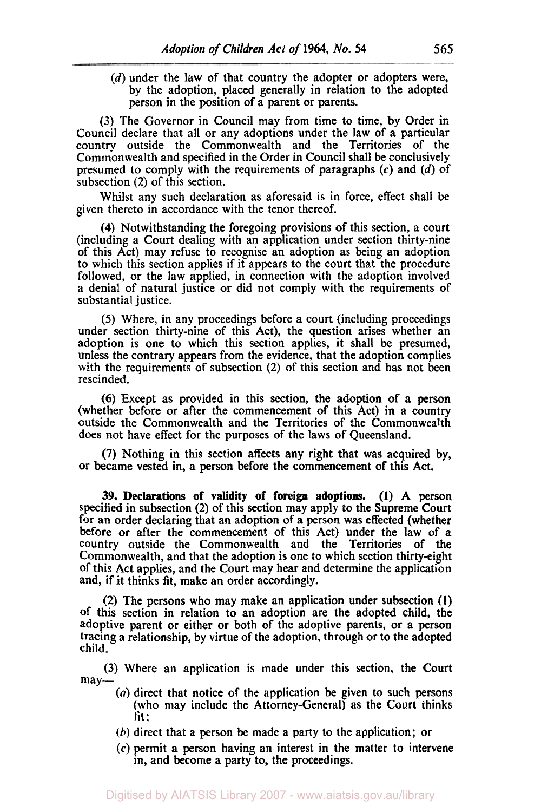(d) under the law of that country the adopter or adopters were, by the adoption, placed generally in relation to the adopted person in the position of a parent or parents.

(3) The Governor in Council may from time to time, by Order in Council declare that all or any adoptions under the law of a particular country outside the Commonwealth and the Territories of the Commonwealth and specified in the Order in Council shall be conclusively presumed to comply with the requirements of paragraphs *(c)* and (d) of subsection (2) of this section.

Whilst any such declaration as aforesaid is in force, effect shall be given thereto in accordance with the tenor thereof.

**(4)** Notwithstanding the foregoing provisions of this section, a court (including a Court dealing with an application under section thirty-nine of this Act) may refuse to recognise an adoption as being an adoption to which this section applies if it appears to the court that the procedure followed, or the law applied, in connection with the adoption involved a denial of natural justice or did not comply with the requirements of substantial justice.

*(5)* Where, in any proceedings before a court (including proceedings under section thirty-nine of this Act), the question arises whether an adoption is one to which this section applies, it shall be presumed, unless the contrary appears from the evidence, that the adoption complies with the requirements of subsection (2) of this section and has not been rescinded.

(6) Except as provided in this section, the adoption of a person (whether before or after the commencement of this Act) in a country outside the Commonwealth and the Territories of the Commonwealth does not have effect for the purposes of the laws of Queensland.

**(7)** Nothing in this section affects any right that was acquired by, or became vested in, a person before the commencement of this Act.

**39. Declarations of validity of foreign adoptions. (1) A** person specified in subsection (2) of this section may apply to the Supreme Court for an order declaring that an adoption of a person was effected (whether before or after the commencement of this Act) under the law of *a*  country outside the Commonwealth and the Territories of the Commonwealth, and that the adoption is one to which section thirty-eight of this Act applies, and the Court may hear and determine the application and, if it thinks fit, make an order accordingly.

(2) The persons who may make an application under subsection **(1)**  of this section in relation to an adoption are the adopted child, the adoptive parent or either or both of the adoptive parents, or a person tracing a relationship, by virtue of the adoption, through or to the adopted child.

(3) Where an application is made under this section, the Court may-

- *(a)* direct that notice of the application be given to such persons (who may include the Attorney-General) *as* the Court thinks tit;
- $(b)$  direct that a person be made a party to the application; or
- *(c)* permit a person having an interest in the matter to intervene in, and become a party to, the proceedings.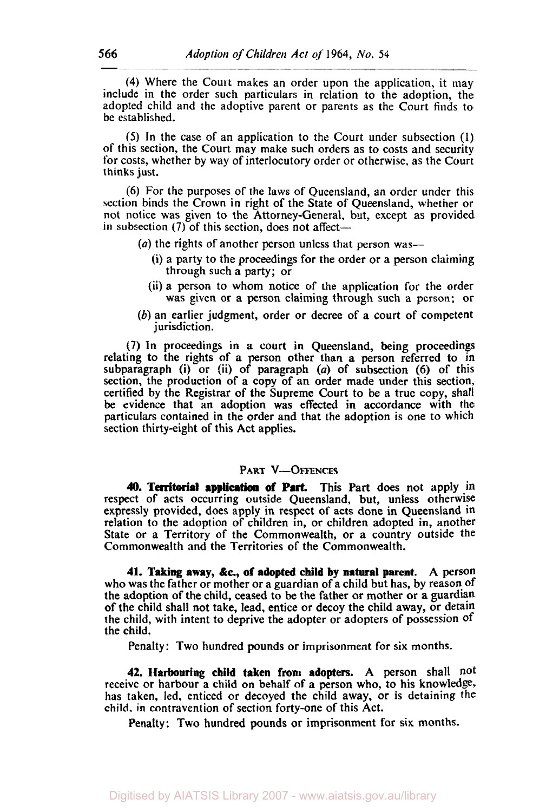**(4)** Where the Court makes an order upon the application, it may include in the order such particulars in relation to the adoption, the adopted child and the adoptive parent or parents as the Court finds to be established.

*(5)* In the case of an application to the Court under subsection (1) of this section, the Court may make such orders as to costs and security for costs, whether by way of interlocutory order or otherwise, as the Court thinks just.

(6) For the purposes of the laws of Queensland, an order under this section binds the Crown in right of the State *of* Queensland, whether or not notice was given to the Attorney-General, but, except as provided in subsection  $(7)$  of this section, does not affect-

- *(a)* the rights of another person unless that person was-
	- (i) a party to the proceedings for the order or a person claiming through such a party; or
	- (ii) a person to whom notice of the application for the order was given or a person claiming through such **a** person; or
- (b) an earlier judgment, order or decree of a court of competent jurisdiction.

(7) In proceedings in a court in Queensland, being proceedings relating to the rights of a person other than **a** person referred to in subparagraph (i) or (ii) of paragraph *(a)* of subsection (6) of this section, the production of a copy of an order made under this section, certified by the Registrar of the Supreme Court to be a true copy, shall be evidence that an adoption was effected in accordance with the particulars contained in the order and that the adoption is one to which section thirty-eight of this Act applies.

## PART **V-OFFENCES**

40. Territorial application of Part. This Part does not apply in respect of acts occurring outside Queensland, but, unless otherwise expressly provided, does apply in respect of acts done in Queensland in relation to the adoption of children in, or children adopted in, another State or a Territory of the Commonwealth, or a country outside the Commonwealth and the Territories of the Commonwealth.

**41. Taking away,** *&c.,* **of adopted child by natural parent.** A person who was the father or mother or a guardian of a child but has, by reason of the adoption of the child, ceased to be the father or mother or a guardian of the child shall not take, lead. entice or decoy the child away, or detain the child, with intent to deprive the adopter or adopters of possession of the child.

Penalty: Two hundred pounds or imprisonment for six months.

**42. Harbouring child taken from adopters. A** person shall not receive or harbour a child on behalf **of** a person who, to his knowledge, has taken, led, enticed or decoyed the child away, or is detaining the child. in contravention of section forty-one of this Act.

Penalty: Two hundred pounds **or** imprisonment for **six** months.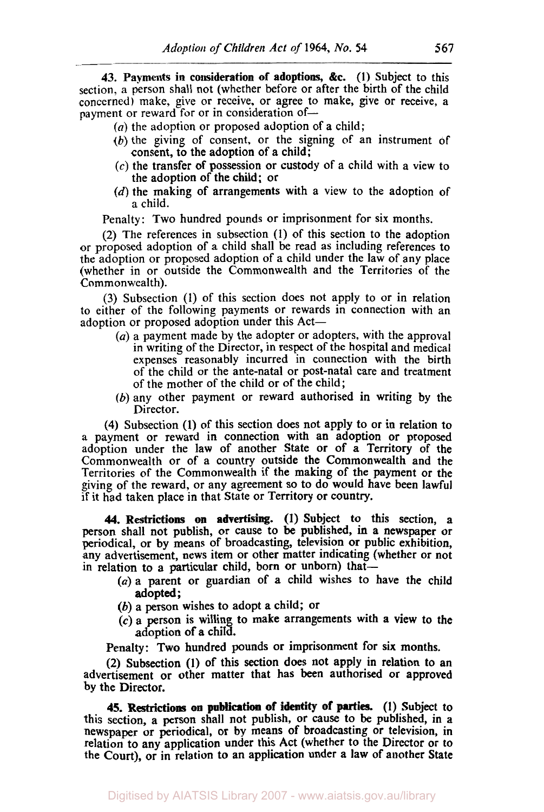**43.** Payments in consideration of adoptions, **&c.** (I) Subject to this section, a person shall not (whether before or after the birth of the child concerned) make, give or receive, or agree to make, give or receive, a payment or reward for or in consideration of-

*(a)* the adoption or proposed adoption of a child;

--

- *(b)* the giving of consent, or the signing of an instrument of consent, to the adoption of a child;
- **(c)** the transfer of possession or custody of a child with a view to the adoption of the child; or
- (d) the making of arrangements with a view to the adoption of a child.

Penalty: Two hundred pounds or imprisonment for six months.

(2) The references in subsection (1) of this section to the adoption or proposed adoption of a child shall be read as including references to the adoption or proposed adoption of a child under the law of any place (whether in or outside the Commonwealth and the Territories of the Commonwealth).

(3) Subsection (1) of this section does not apply to or in relation to either of the following payments or rewards in connection with an adoption or proposed adoption under this Act-

- *(a)* a payment made by the adopter or adopters, with the approval in writing of the Director, in respect of the hospital and medical expenses reasonably incurred in connection with the birth of the child or the ante-natal or post-natal care and treatment of the mother of the child or of the child;
- *(b)* any other payment or reward authorised in writing by the Director.

**(4)** Subsection **(1)** of this section does not apply to or in relation to a payment or reward in connection with an adoption or proposed adoption under the law of another State or of a Territory of the Commonwealth or of a country outside the Commonwealth and the Territories of the Commonwealth if the making of the payment or the giving of the reward, or any agreement **so** to do would have been lawful if it had taken place in that State or Territory or country.

**44. Restrictions on advertising. (1)** Subject to this section, a person shall not publish, or cause to be published, in a newspaper **or**  periodical, or by means of broadcasting, television or public exhibition, any advertisement, news item or other matter indicating (whether or not in relation to a particular child, born or unborn) that-

- *(a)* a parent or guardian of a child wishes to have the child adopted ;
- (b) a person wishes to adopt a child; or
- **(C)** a person is willing to make arrangements with a view to the adoption of a child.

Penalty: Two hundred pounds or imprisonment for six months.

(2) Subsection **(1)** of this section **does** not apply in relation to an advertisement **or** other matter that has been authorised or approved by the Director.

**45. Restrictions on publication of identity** of **parties. (1)** Subject to this section, a person shall not publish, or cause to be published, in a newspaper or periodical, or by means of broadcasting or television, in relation to any application under this Act (whether to the Director or to the Court), Or in relation to an application under a law of another State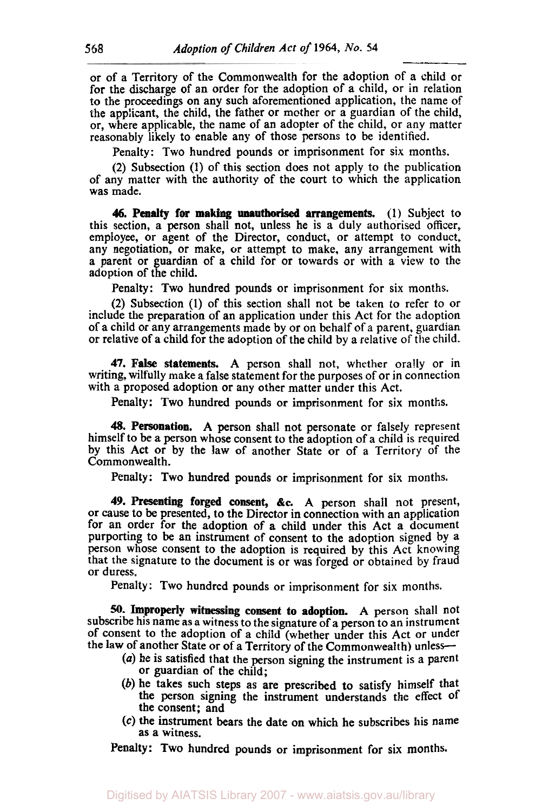--~

or of a Territory of the Commonwealth for the adoption of a child or for the discharge of an order for the adoption of a child, or in relation to the proceedings on any such aforementioned application, the name of the applicant, the child, the father or mother or a guardian of the child, or, where applicable, the name of an adopter of the child, or any matter reasonably likely to enable any of those persons to be identified.

Penalty: Two hundred pounds or imprisonment for six months.

(2) Subsection **(1)** of this section does not apply to the publication of any matter with the authority of the court to which the application was made.

**46. Penalty for making unauthorised arrangements.** (1) Subject to this section, a person shall not, unless he is a duly authorised officer, employee, or agent of the Director, conduct, or attempt to conduct, any negotiation, or make, or attempt to make, any arrangement with a parent or guardian of a child for or towards or with a view to the adoption of the child.

Penalty: Two hundred pounds or imprisonment for six months.

**(2)** Subsection **(1)** of this section shall not be taken to refer to or include the preparation of an application under this Act for the adoption of a child or any arrangements made by or on behalf of a parent, guardian or relative of a child for the adoption of the child by a relative of the child.

**47. False statements.** A person shall not, whether orally or in writing, wilfully make a false statement for the purposes of or in connection with a proposed adoption or any other matter under this Act.

Penalty: Two hundred pounds or imprisonment for **six** months.

**48. Personation.** A person shall not personate or falsely represent himself to be a person whose consent to the adoption of a child is required by this Act or by the law of another State or of a Territory of the Commonwealth.

Penalty: Two hundred pounds or imprisonment for six months.

*49.* **Presenting forged consent, %c.** A person shall not present, or **cause** to be presented, to the Director in connection with an application for an order for the adoption of a child under this Act a document purporting to be an instrument of consent to the adoption signed by a person whose consent to the adoption is required by this Act knowing that the signature to the document is or was forged or obtained by fraud or duress.

Penalty: Two hundred pounds or imprisonment for six months.

*50.* **Improperly witnessing consent to adoption.** A person shall not subscribe his name as a witness to the signature of a person to an instrument of consent to the adoption of a child (whether under this Act or under the law of another State or of a Territory of the Commonwealth) unless-

- *(a)* he is satisfied that the person signing the instrument is a parent or guardian of the child;
- *(b)* he takes such steps as are prescribed to satisfy himself that the person signing the instrument understands the effect of the consent; and
- **(C)** the instrument bears the date **on** which he subscribes his name as a witness.

Penalty: Two hundred pounds or imprisonment for six months.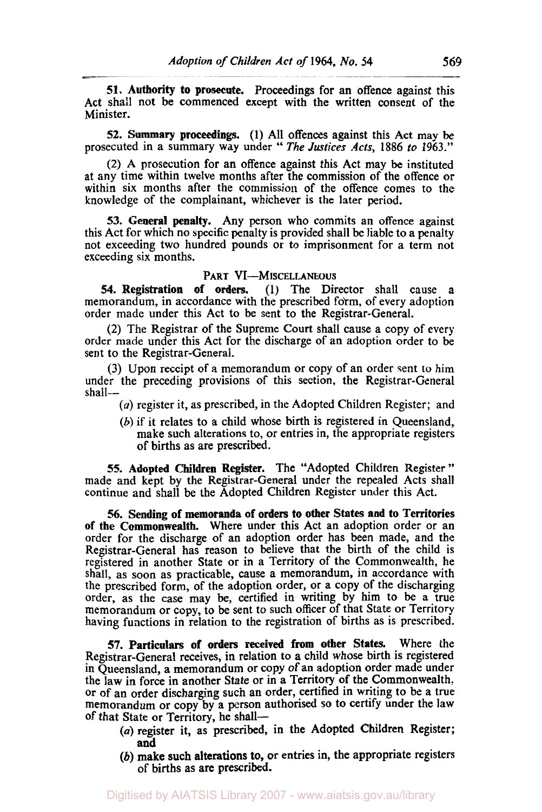**51.** Authority to prosecute. Proceedings for an offence against this Act shall not be commenced except with the written consent of the Minister.

**52.** Summary proceedings. **(1)** All offences against this Act may be prosecuted in a summary way under " *The* Justices *Acts,* **1886** *to* **1963."** 

(2) A prosecution for an offence against this Act may be instituted at any time within twelve months after the commission of the offence or within six months after the commission of the offence comes to the knowledge of the complainant, whichever is the later period.

**53.** General **penalty.** Any person who commits an offence against this Act for which no specific penalty is provided shall be liable to a penalty not exceeding two hundred pounds or to imprisonment for a term not exceeding six months.

## PART VI-MISCELLANEOUS

*54.* Registration of orders. **(1)** The Director shall cause a memorandum, in accordance with the prescribed form, of every adoption order made under this Act to be sent to the Registrar-General.

(2) The Registrar of the Supreme Court shall cause a copy of every order made under this Act for the discharge of an adoption order to be sent to the Registrar-General.

**(3)** Upon receipt of a memorandum or copy of an order sent to him under the preceding provisions of this section, the Registrar-General shall-

- *(a)* register it, as prescribed, in the Adopted Children Register; and
- (b) if it relates to a child whose birth is registered in Queensland, make such alterations to, or entries in, the appropriate registers of births as are prescribed.

**55.** Adopted Children Register. The "Adopted Children Register " made and kept by the Registrar-General under the repealed Acts shall continue and shall be the Adopted Children Register under this Act.

*56.* Sending of memoranda of orders to other States and to Territories of the Commonwealth. Where under this Act an adoption order or an order for the discharge of an adoption order has been made, and the Registrar-General has reason to believe that the birth of the child is registered in another State or in a Territory of the Commonwealth, he shall, as soon as practicable, cause a memorandum, in accordance with the prescribed form, of the adoption order, or a copy of the discharging order, as the case may be, certified in writing by him to be a true memorandum or copy, to be sent to such officer of that State or Territory having functions in relation to the registration of births as is prescribed.

57. Particulars of orders received from other States. Where the Registrar-General receives, in relation to a child whose birth is registered in Queensland, a memorandum or copy of an adoption order made under the law in force in another State or in a Territory of the Commonwealth, or of an order discharging such an order, certified in writing to be a true memorandum or copy by a person authorised **so** to certify under the law of that State or Territory, he shall-

- *(a)* register it, as prescribed, in the Adopted Children Register; and
- (b) make such alterations to, or entries in, the appropriate registers of births **as** are prescribed.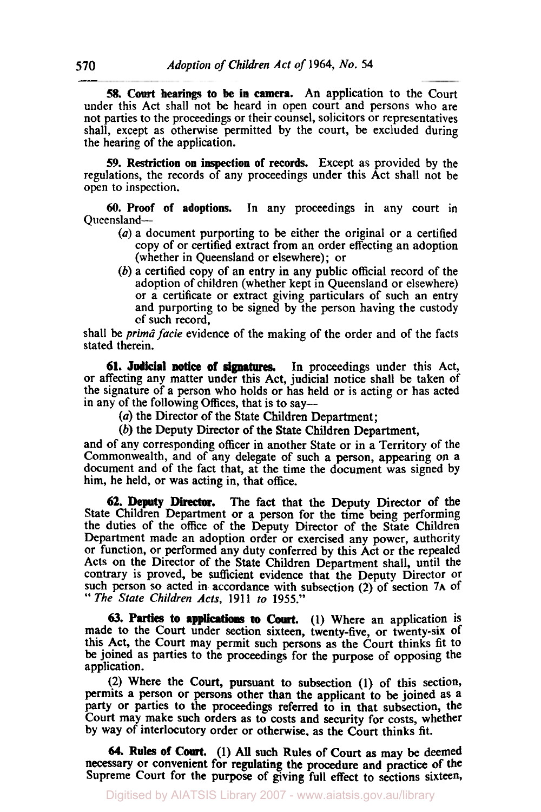*58.* **Court bearings to be in camera.** An application to the Court under this Act shall not be heard in open court and persons who are not parties to the proceedings or their counsel, solicitors or representatives shall, except as otherwise permitted by the court, be excluded during the hearing of the application.

**59. Restriction on inspection of records.** Except as provided by the regulations, the records of any proceedings under this Act shall not be open to inspection.

**60. Proof of adoptions.** In any proceedings in any court in Queensland-

- *(a)* a document purporting to be either the original or a certified copy of or certified extract from an order effecting an adoption (whether in Queensland or elsewhere); or
- (b) a certified copy of an entry in any public official record of the adoption of children (whether kept in Queensland or elsewhere) or a certificate or extract giving particulars of such an entry and purporting to be signed by the person having the custody of such record,

shall be *prima facie* evidence of the making of the order and of the facts stated therein.

**In** proceedings under this Act, or affecting any matter under this Act, judicial notice shall be taken of the signature of a person who holds or has held or is acting or has acted in any of the following Offices, that is to say— **61. Judicial notice of signatures.** 

*(a)* the Director of the State Children Department;

(b) the Deputy Director of the State Children Department,

and of any corresponding officer in another State or in a Territory of the Commonwealth, and of any delegate of such a person, appearing on a document and of the fact that, at the time the document was signed by him, he held, or was acting in, that office.

The fact that the Deputy Director of the State Children Department or a person for the time being performing the duties of the office of the Deputy Director of the State Children Department made an adoption order or exercised any power, authority or function, or performed any duty conferred by this Act or the repealed Acts on the Director of the State Children Department shall, until the contrary is proved, be sufficient evidence that the Deputy Director **or**  such person so acted in accordance with subsection (2) of section **7A** of " The State Children Acts, 1911 to 1955." **62. Deputy Director.** 

made to the Court under section sixteen, twenty-five, or twenty-six of this Act, the Court may permit such persons as the Court thinks fit to be joined as parties to the proceedings for the purpose of opposing the application. **63. Parties to applications to Court.** (1) Where an application is

(2) Where the Court, pursuant to subsection **(1)** of this section, permits a person or persons other than the applicant to be joined as a party or parties to the proceedings referred to in that subsection, the Court may make such orders as to costs and security for costs, whether by way of interlocutory order or otherwise. as the Court thinks fit.

*64.* **Rules of** *Court.* **(1)** All such Rules of Court as may be deemed necessary or convenient for regulating the procedure and practice of the Supreme Court for the purpose of giving full effect to sections sixteen,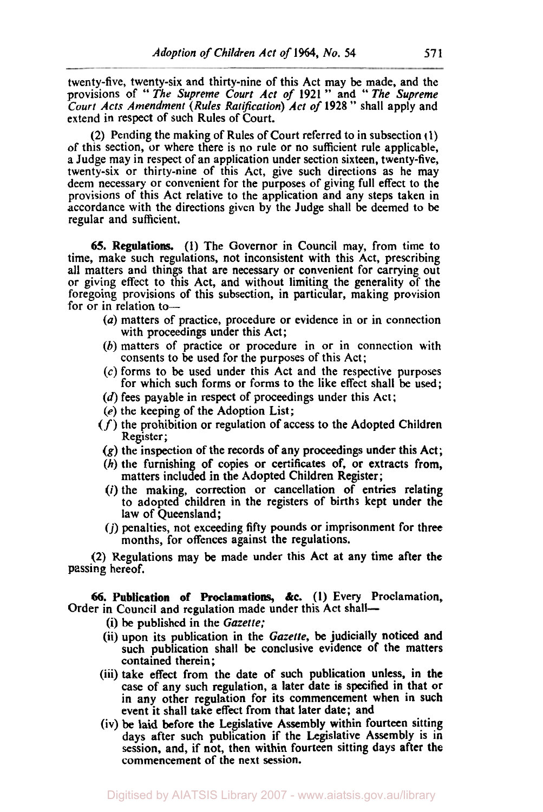twenty-five, twenty-six and thirty-nine of this Act may be made, and the provisions of " *The Supreme Court Act of* **1921** " and '' *The Supreme Court Acts Amendment (Rules Ratifiction) Act of* **1928** " shall apply and extend in respect of such Rules of Court.

(2) Pending the making of Rules of Court referred to in subsection **( 1)**  of this section, or where there is no rule or no sufficient rule applicable, a Judge may in respect of an application under section sixteen, twenty-five, twenty-six or thirty-nine of this Act, give such directions **as** he may deem necessary or convenient for the purposes of giving full effect to the provisions of this Act relative to the application and any steps taken in accordance with the directions given by the Judge shall be deemed **to** be regular and sufficient.

**65.** Regulations. **(1)** The Governor in Council may, from time to time, make such regulations, not inconsistent with this Act, prescribing all matters and things that are necessary or convenient for carrying out or giving effect to this Act, and without limiting the generality of the foregoing provisions of this subsection, in particular, making provision for  $\overline{or}$  in relation to-

- *(a)* matters **of** practice, procedure or evidence in or in connection with proceedings under this Act;
- (b) matters of practice or procedure in or in connection with consents to be used **for** the purposes of this Act;
- **(c)** forms to be used under this Act and the respective purposes for which such forms or forms to the like effect shall be used;
- *(d)* fees payable in respect of proceedings under this Act;
- (e) the keeping of the Adoption List;
- $(f)$  the prohibition or regulation of access to the Adopted Children Register;
- **(g)** the inspection of the records of any proceedings under this Act;
- *(h)* the furnishing of copies or certificates of, or extracts from, matters included in the Adopted Children Register;
- *(i)* the making, correction or cancellation of entries relating to adopted children in the registers of births kept under the law of Queensland;
- *(j)* penalties, not exceeding fifty pounds or imprisonment for three months, for offences against the regulations.

**(2)** Regulations may be made under this Act at any time after the passing hereof.

**66.** Publication of Proclamations, **&c. (1)** Every Proclamation, Order in Council and regulation made under this Act shall-

(i) be published in the *Gazette;* 

- (ii) upon its publication in the *Gazette,* be judicially noticed and such publication shall be conclusive evidence of the matters contained therein ;
- (iii) take effect from the date of such publication unless, in the case of any such regulation, a later date is specified in that or in any other regulation for its commencement when in such event it shall take effect from that later date; and
- (iv) be laid before the Legislative Assembly within fourteen sitting days after such publication if the Legislative Assembly is in session, and, if not, then within fourteen sitting days after the commencement **of** the next session.